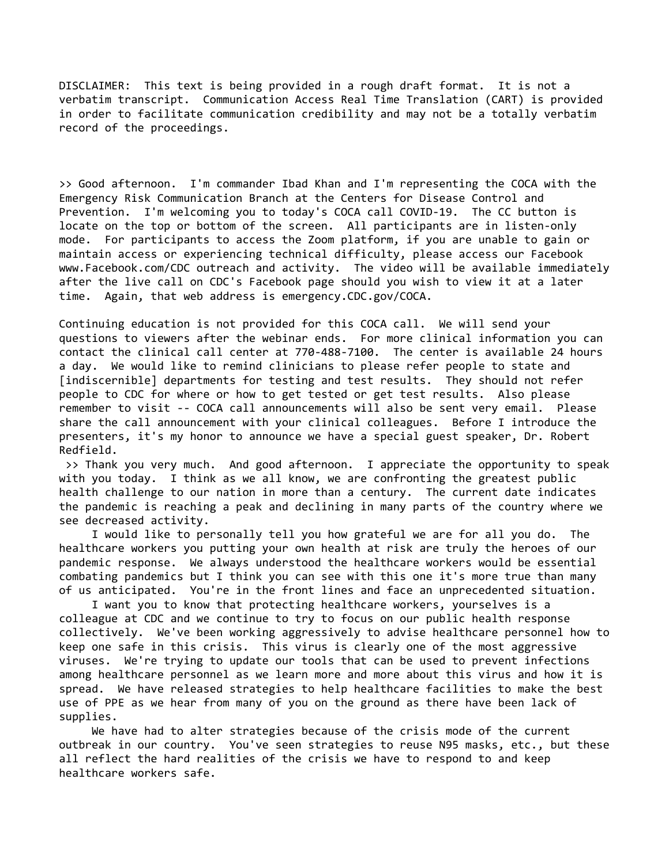DISCLAIMER: This text is being provided in a rough draft format. It is not a verbatim transcript. Communication Access Real Time Translation (CART) is provided in order to facilitate communication credibility and may not be a totally verbatim record of the proceedings.

>> Good afternoon. I'm commander Ibad Khan and I'm representing the COCA with the Emergency Risk Communication Branch at the Centers for Disease Control and Prevention. I'm welcoming you to today's COCA call COVID-19. The CC button is locate on the top or bottom of the screen. All participants are in listen-only mode. For participants to access the Zoom platform, if you are unable to gain or maintain access or experiencing technical difficulty, please access our Facebook www.Facebook.com/CDC outreach and activity. The video will be available immediately after the live call on CDC's Facebook page should you wish to view it at a later time. Again, that web address is emergency.CDC.gov/COCA.

Continuing education is not provided for this COCA call. We will send your questions to viewers after the webinar ends. For more clinical information you can contact the clinical call center at 770-488-7100. The center is available 24 hours a day. We would like to remind clinicians to please refer people to state and [indiscernible] departments for testing and test results. They should not refer people to CDC for where or how to get tested or get test results. Also please remember to visit -- COCA call announcements will also be sent very email. Please share the call announcement with your clinical colleagues. Before I introduce the presenters, it's my honor to announce we have a special guest speaker, Dr. Robert Redfield.

 >> Thank you very much. And good afternoon. I appreciate the opportunity to speak with you today. I think as we all know, we are confronting the greatest public health challenge to our nation in more than a century. The current date indicates the pandemic is reaching a peak and declining in many parts of the country where we see decreased activity.

 I would like to personally tell you how grateful we are for all you do. The healthcare workers you putting your own health at risk are truly the heroes of our pandemic response. We always understood the healthcare workers would be essential combating pandemics but I think you can see with this one it's more true than many of us anticipated. You're in the front lines and face an unprecedented situation.

 I want you to know that protecting healthcare workers, yourselves is a colleague at CDC and we continue to try to focus on our public health response collectively. We've been working aggressively to advise healthcare personnel how to keep one safe in this crisis. This virus is clearly one of the most aggressive viruses. We're trying to update our tools that can be used to prevent infections among healthcare personnel as we learn more and more about this virus and how it is spread. We have released strategies to help healthcare facilities to make the best use of PPE as we hear from many of you on the ground as there have been lack of supplies.

 We have had to alter strategies because of the crisis mode of the current outbreak in our country. You've seen strategies to reuse N95 masks, etc., but these all reflect the hard realities of the crisis we have to respond to and keep healthcare workers safe.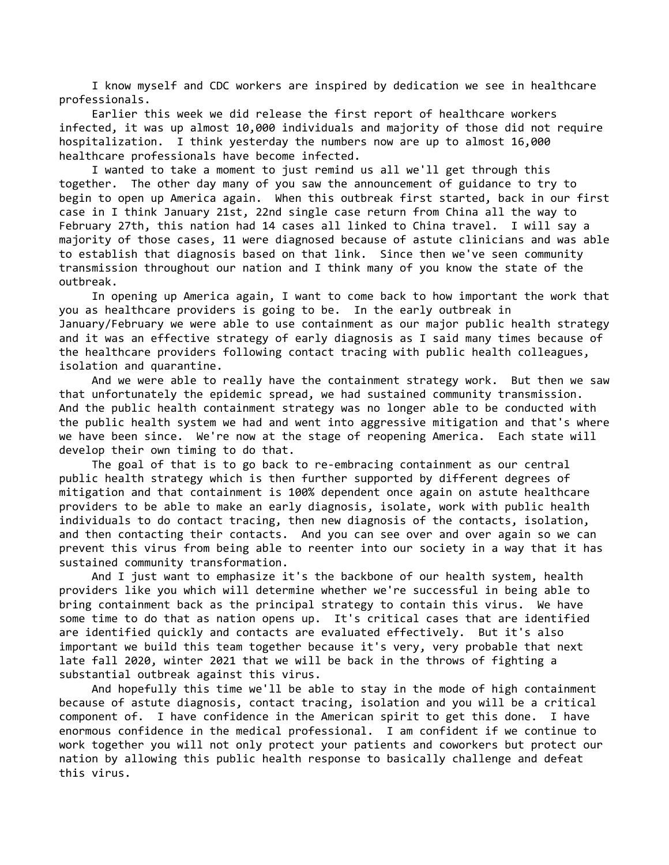I know myself and CDC workers are inspired by dedication we see in healthcare professionals.

 Earlier this week we did release the first report of healthcare workers infected, it was up almost 10,000 individuals and majority of those did not require hospitalization. I think yesterday the numbers now are up to almost 16,000 healthcare professionals have become infected.

 I wanted to take a moment to just remind us all we'll get through this together. The other day many of you saw the announcement of guidance to try to begin to open up America again. When this outbreak first started, back in our first case in I think January 21st, 22nd single case return from China all the way to February 27th, this nation had 14 cases all linked to China travel. I will say a majority of those cases, 11 were diagnosed because of astute clinicians and was able to establish that diagnosis based on that link. Since then we've seen community transmission throughout our nation and I think many of you know the state of the outbreak.

 In opening up America again, I want to come back to how important the work that you as healthcare providers is going to be. In the early outbreak in January/February we were able to use containment as our major public health strategy and it was an effective strategy of early diagnosis as I said many times because of the healthcare providers following contact tracing with public health colleagues, isolation and quarantine.

 And we were able to really have the containment strategy work. But then we saw that unfortunately the epidemic spread, we had sustained community transmission. And the public health containment strategy was no longer able to be conducted with the public health system we had and went into aggressive mitigation and that's where we have been since. We're now at the stage of reopening America. Each state will develop their own timing to do that.

 The goal of that is to go back to re-embracing containment as our central public health strategy which is then further supported by different degrees of mitigation and that containment is 100% dependent once again on astute healthcare providers to be able to make an early diagnosis, isolate, work with public health individuals to do contact tracing, then new diagnosis of the contacts, isolation, and then contacting their contacts. And you can see over and over again so we can prevent this virus from being able to reenter into our society in a way that it has sustained community transformation.

 And I just want to emphasize it's the backbone of our health system, health providers like you which will determine whether we're successful in being able to bring containment back as the principal strategy to contain this virus. We have some time to do that as nation opens up. It's critical cases that are identified are identified quickly and contacts are evaluated effectively. But it's also important we build this team together because it's very, very probable that next late fall 2020, winter 2021 that we will be back in the throws of fighting a substantial outbreak against this virus.

 And hopefully this time we'll be able to stay in the mode of high containment because of astute diagnosis, contact tracing, isolation and you will be a critical component of. I have confidence in the American spirit to get this done. I have enormous confidence in the medical professional. I am confident if we continue to work together you will not only protect your patients and coworkers but protect our nation by allowing this public health response to basically challenge and defeat this virus.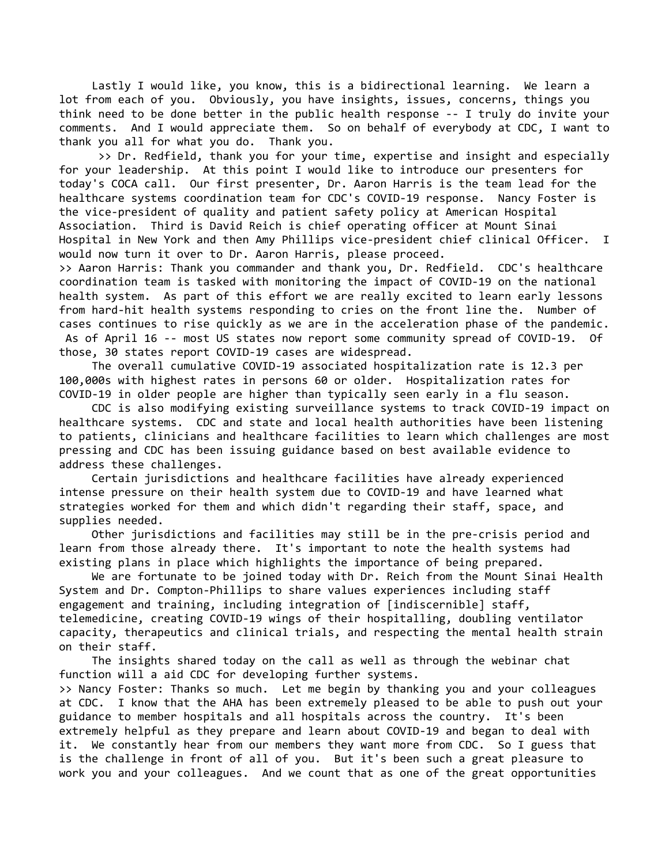Lastly I would like, you know, this is a bidirectional learning. We learn a lot from each of you. Obviously, you have insights, issues, concerns, things you think need to be done better in the public health response -- I truly do invite your comments. And I would appreciate them. So on behalf of everybody at CDC, I want to thank you all for what you do. Thank you.

 >> Dr. Redfield, thank you for your time, expertise and insight and especially for your leadership. At this point I would like to introduce our presenters for today's COCA call. Our first presenter, Dr. Aaron Harris is the team lead for the healthcare systems coordination team for CDC's COVID-19 response. Nancy Foster is the vice-president of quality and patient safety policy at American Hospital Association. Third is David Reich is chief operating officer at Mount Sinai Hospital in New York and then Amy Phillips vice-president chief clinical Officer. I would now turn it over to Dr. Aaron Harris, please proceed.

>> Aaron Harris: Thank you commander and thank you, Dr. Redfield. CDC's healthcare coordination team is tasked with monitoring the impact of COVID-19 on the national health system. As part of this effort we are really excited to learn early lessons from hard-hit health systems responding to cries on the front line the. Number of cases continues to rise quickly as we are in the acceleration phase of the pandemic. As of April 16 -- most US states now report some community spread of COVID-19. Of those, 30 states report COVID-19 cases are widespread.

 The overall cumulative COVID-19 associated hospitalization rate is 12.3 per 100,000s with highest rates in persons 60 or older. Hospitalization rates for COVID-19 in older people are higher than typically seen early in a flu season.

 CDC is also modifying existing surveillance systems to track COVID-19 impact on healthcare systems. CDC and state and local health authorities have been listening to patients, clinicians and healthcare facilities to learn which challenges are most pressing and CDC has been issuing guidance based on best available evidence to address these challenges.

 Certain jurisdictions and healthcare facilities have already experienced intense pressure on their health system due to COVID-19 and have learned what strategies worked for them and which didn't regarding their staff, space, and supplies needed.

 Other jurisdictions and facilities may still be in the pre-crisis period and learn from those already there. It's important to note the health systems had existing plans in place which highlights the importance of being prepared.

 We are fortunate to be joined today with Dr. Reich from the Mount Sinai Health System and Dr. Compton-Phillips to share values experiences including staff engagement and training, including integration of [indiscernible] staff, telemedicine, creating COVID-19 wings of their hospitalling, doubling ventilator capacity, therapeutics and clinical trials, and respecting the mental health strain on their staff.

 The insights shared today on the call as well as through the webinar chat function will a aid CDC for developing further systems.

>> Nancy Foster: Thanks so much. Let me begin by thanking you and your colleagues at CDC. I know that the AHA has been extremely pleased to be able to push out your guidance to member hospitals and all hospitals across the country. It's been extremely helpful as they prepare and learn about COVID-19 and began to deal with it. We constantly hear from our members they want more from CDC. So I guess that is the challenge in front of all of you. But it's been such a great pleasure to work you and your colleagues. And we count that as one of the great opportunities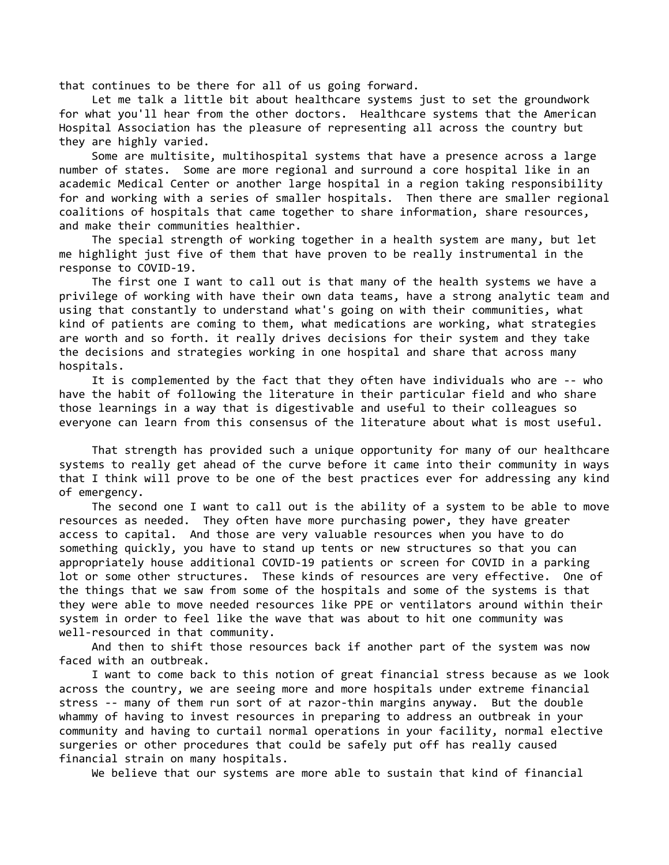that continues to be there for all of us going forward.

 Let me talk a little bit about healthcare systems just to set the groundwork for what you'll hear from the other doctors. Healthcare systems that the American Hospital Association has the pleasure of representing all across the country but they are highly varied.

 Some are multisite, multihospital systems that have a presence across a large number of states. Some are more regional and surround a core hospital like in an academic Medical Center or another large hospital in a region taking responsibility for and working with a series of smaller hospitals. Then there are smaller regional coalitions of hospitals that came together to share information, share resources, and make their communities healthier.

 The special strength of working together in a health system are many, but let me highlight just five of them that have proven to be really instrumental in the response to COVID-19.

 The first one I want to call out is that many of the health systems we have a privilege of working with have their own data teams, have a strong analytic team and using that constantly to understand what's going on with their communities, what kind of patients are coming to them, what medications are working, what strategies are worth and so forth. it really drives decisions for their system and they take the decisions and strategies working in one hospital and share that across many hospitals.

 It is complemented by the fact that they often have individuals who are -- who have the habit of following the literature in their particular field and who share those learnings in a way that is digestivable and useful to their colleagues so everyone can learn from this consensus of the literature about what is most useful.

 That strength has provided such a unique opportunity for many of our healthcare systems to really get ahead of the curve before it came into their community in ways that I think will prove to be one of the best practices ever for addressing any kind of emergency.

 The second one I want to call out is the ability of a system to be able to move resources as needed. They often have more purchasing power, they have greater access to capital. And those are very valuable resources when you have to do something quickly, you have to stand up tents or new structures so that you can appropriately house additional COVID-19 patients or screen for COVID in a parking lot or some other structures. These kinds of resources are very effective. One of the things that we saw from some of the hospitals and some of the systems is that they were able to move needed resources like PPE or ventilators around within their system in order to feel like the wave that was about to hit one community was well-resourced in that community.

 And then to shift those resources back if another part of the system was now faced with an outbreak.

 I want to come back to this notion of great financial stress because as we look across the country, we are seeing more and more hospitals under extreme financial stress -- many of them run sort of at razor-thin margins anyway. But the double whammy of having to invest resources in preparing to address an outbreak in your community and having to curtail normal operations in your facility, normal elective surgeries or other procedures that could be safely put off has really caused financial strain on many hospitals.

We believe that our systems are more able to sustain that kind of financial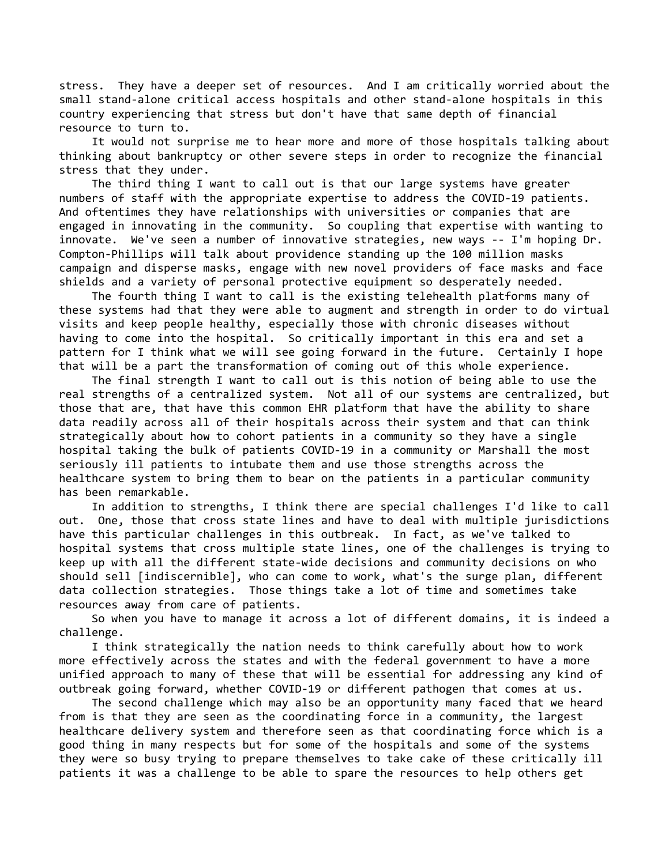stress. They have a deeper set of resources. And I am critically worried about the small stand-alone critical access hospitals and other stand-alone hospitals in this country experiencing that stress but don't have that same depth of financial resource to turn to.

 It would not surprise me to hear more and more of those hospitals talking about thinking about bankruptcy or other severe steps in order to recognize the financial stress that they under.

 The third thing I want to call out is that our large systems have greater numbers of staff with the appropriate expertise to address the COVID-19 patients. And oftentimes they have relationships with universities or companies that are engaged in innovating in the community. So coupling that expertise with wanting to innovate. We've seen a number of innovative strategies, new ways -- I'm hoping Dr. Compton-Phillips will talk about providence standing up the 100 million masks campaign and disperse masks, engage with new novel providers of face masks and face shields and a variety of personal protective equipment so desperately needed.

 The fourth thing I want to call is the existing telehealth platforms many of these systems had that they were able to augment and strength in order to do virtual visits and keep people healthy, especially those with chronic diseases without having to come into the hospital. So critically important in this era and set a pattern for I think what we will see going forward in the future. Certainly I hope that will be a part the transformation of coming out of this whole experience.

 The final strength I want to call out is this notion of being able to use the real strengths of a centralized system. Not all of our systems are centralized, but those that are, that have this common EHR platform that have the ability to share data readily across all of their hospitals across their system and that can think strategically about how to cohort patients in a community so they have a single hospital taking the bulk of patients COVID-19 in a community or Marshall the most seriously ill patients to intubate them and use those strengths across the healthcare system to bring them to bear on the patients in a particular community has been remarkable.

 In addition to strengths, I think there are special challenges I'd like to call out. One, those that cross state lines and have to deal with multiple jurisdictions have this particular challenges in this outbreak. In fact, as we've talked to hospital systems that cross multiple state lines, one of the challenges is trying to keep up with all the different state-wide decisions and community decisions on who should sell [indiscernible], who can come to work, what's the surge plan, different data collection strategies. Those things take a lot of time and sometimes take resources away from care of patients.

 So when you have to manage it across a lot of different domains, it is indeed a challenge.

 I think strategically the nation needs to think carefully about how to work more effectively across the states and with the federal government to have a more unified approach to many of these that will be essential for addressing any kind of outbreak going forward, whether COVID-19 or different pathogen that comes at us.

 The second challenge which may also be an opportunity many faced that we heard from is that they are seen as the coordinating force in a community, the largest healthcare delivery system and therefore seen as that coordinating force which is a good thing in many respects but for some of the hospitals and some of the systems they were so busy trying to prepare themselves to take cake of these critically ill patients it was a challenge to be able to spare the resources to help others get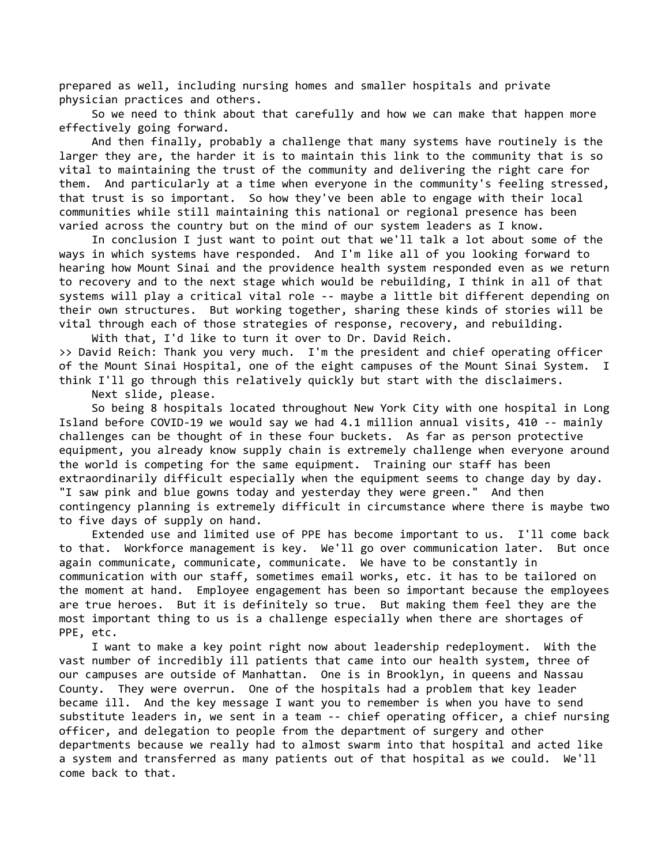prepared as well, including nursing homes and smaller hospitals and private physician practices and others.

 So we need to think about that carefully and how we can make that happen more effectively going forward.

 And then finally, probably a challenge that many systems have routinely is the larger they are, the harder it is to maintain this link to the community that is so vital to maintaining the trust of the community and delivering the right care for them. And particularly at a time when everyone in the community's feeling stressed, that trust is so important. So how they've been able to engage with their local communities while still maintaining this national or regional presence has been varied across the country but on the mind of our system leaders as I know.

 In conclusion I just want to point out that we'll talk a lot about some of the ways in which systems have responded. And I'm like all of you looking forward to hearing how Mount Sinai and the providence health system responded even as we return to recovery and to the next stage which would be rebuilding, I think in all of that systems will play a critical vital role -- maybe a little bit different depending on their own structures. But working together, sharing these kinds of stories will be vital through each of those strategies of response, recovery, and rebuilding.

 With that, I'd like to turn it over to Dr. David Reich. >> David Reich: Thank you very much. I'm the president and chief operating officer of the Mount Sinai Hospital, one of the eight campuses of the Mount Sinai System. I think I'll go through this relatively quickly but start with the disclaimers.

Next slide, please.

 So being 8 hospitals located throughout New York City with one hospital in Long Island before COVID-19 we would say we had 4.1 million annual visits, 410 -- mainly challenges can be thought of in these four buckets. As far as person protective equipment, you already know supply chain is extremely challenge when everyone around the world is competing for the same equipment. Training our staff has been extraordinarily difficult especially when the equipment seems to change day by day. "I saw pink and blue gowns today and yesterday they were green." And then contingency planning is extremely difficult in circumstance where there is maybe two to five days of supply on hand.

 Extended use and limited use of PPE has become important to us. I'll come back to that. Workforce management is key. We'll go over communication later. But once again communicate, communicate, communicate. We have to be constantly in communication with our staff, sometimes email works, etc. it has to be tailored on the moment at hand. Employee engagement has been so important because the employees are true heroes. But it is definitely so true. But making them feel they are the most important thing to us is a challenge especially when there are shortages of PPE, etc.

 I want to make a key point right now about leadership redeployment. With the vast number of incredibly ill patients that came into our health system, three of our campuses are outside of Manhattan. One is in Brooklyn, in queens and Nassau County. They were overrun. One of the hospitals had a problem that key leader became ill. And the key message I want you to remember is when you have to send substitute leaders in, we sent in a team -- chief operating officer, a chief nursing officer, and delegation to people from the department of surgery and other departments because we really had to almost swarm into that hospital and acted like a system and transferred as many patients out of that hospital as we could. We'll come back to that.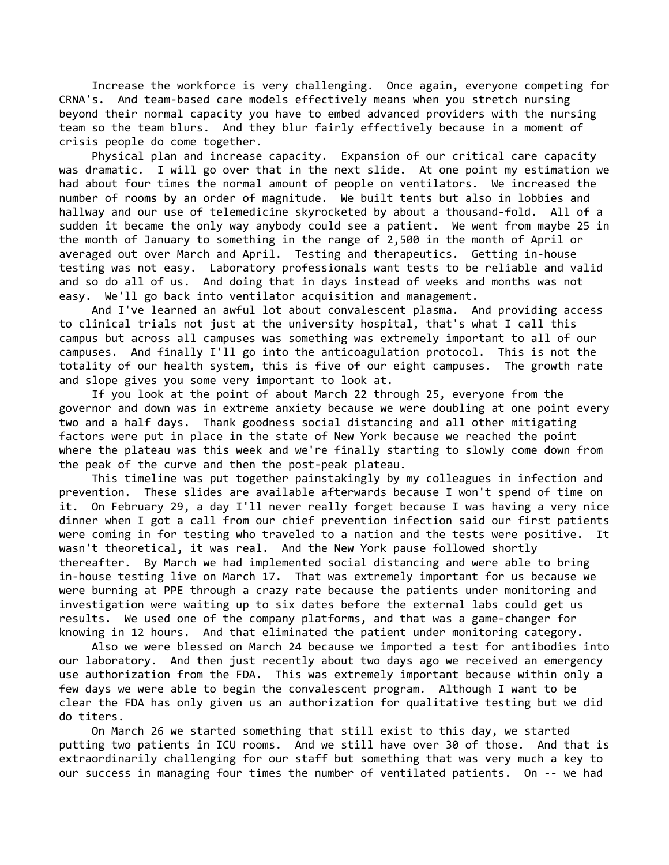Increase the workforce is very challenging. Once again, everyone competing for CRNA's. And team-based care models effectively means when you stretch nursing beyond their normal capacity you have to embed advanced providers with the nursing team so the team blurs. And they blur fairly effectively because in a moment of crisis people do come together.

 Physical plan and increase capacity. Expansion of our critical care capacity was dramatic. I will go over that in the next slide. At one point my estimation we had about four times the normal amount of people on ventilators. We increased the number of rooms by an order of magnitude. We built tents but also in lobbies and hallway and our use of telemedicine skyrocketed by about a thousand-fold. All of a sudden it became the only way anybody could see a patient. We went from maybe 25 in the month of January to something in the range of 2,500 in the month of April or averaged out over March and April. Testing and therapeutics. Getting in-house testing was not easy. Laboratory professionals want tests to be reliable and valid and so do all of us. And doing that in days instead of weeks and months was not easy. We'll go back into ventilator acquisition and management.

 And I've learned an awful lot about convalescent plasma. And providing access to clinical trials not just at the university hospital, that's what I call this campus but across all campuses was something was extremely important to all of our campuses. And finally I'll go into the anticoagulation protocol. This is not the totality of our health system, this is five of our eight campuses. The growth rate and slope gives you some very important to look at.

 If you look at the point of about March 22 through 25, everyone from the governor and down was in extreme anxiety because we were doubling at one point every two and a half days. Thank goodness social distancing and all other mitigating factors were put in place in the state of New York because we reached the point where the plateau was this week and we're finally starting to slowly come down from the peak of the curve and then the post-peak plateau.

 This timeline was put together painstakingly by my colleagues in infection and prevention. These slides are available afterwards because I won't spend of time on it. On February 29, a day I'll never really forget because I was having a very nice dinner when I got a call from our chief prevention infection said our first patients were coming in for testing who traveled to a nation and the tests were positive. It wasn't theoretical, it was real. And the New York pause followed shortly thereafter. By March we had implemented social distancing and were able to bring in-house testing live on March 17. That was extremely important for us because we were burning at PPE through a crazy rate because the patients under monitoring and investigation were waiting up to six dates before the external labs could get us results. We used one of the company platforms, and that was a game-changer for knowing in 12 hours. And that eliminated the patient under monitoring category.

 Also we were blessed on March 24 because we imported a test for antibodies into our laboratory. And then just recently about two days ago we received an emergency use authorization from the FDA. This was extremely important because within only a few days we were able to begin the convalescent program. Although I want to be clear the FDA has only given us an authorization for qualitative testing but we did do titers.

 On March 26 we started something that still exist to this day, we started putting two patients in ICU rooms. And we still have over 30 of those. And that is extraordinarily challenging for our staff but something that was very much a key to our success in managing four times the number of ventilated patients. On -- we had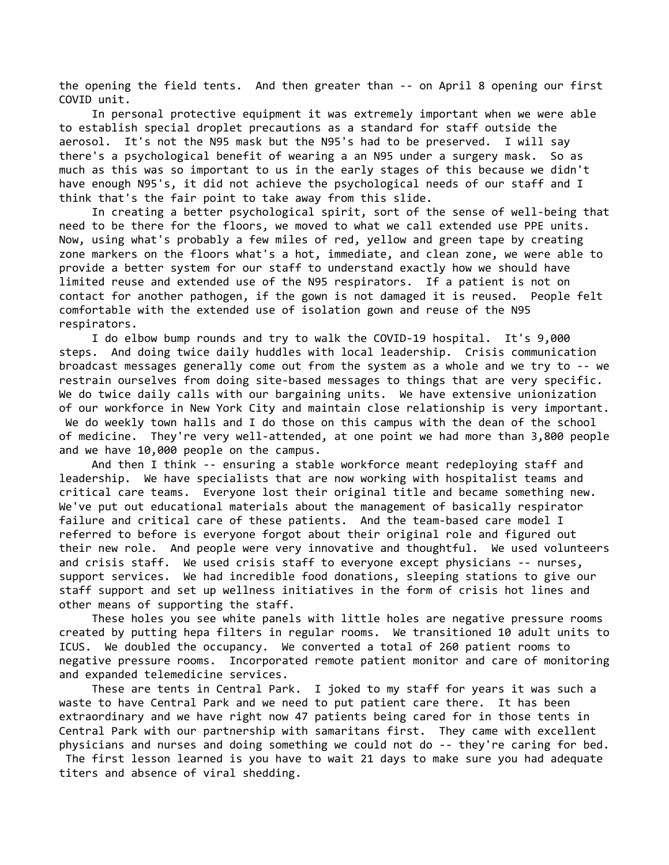the opening the field tents. And then greater than -- on April 8 opening our first COVID unit.

 In personal protective equipment it was extremely important when we were able to establish special droplet precautions as a standard for staff outside the aerosol. It's not the N95 mask but the N95's had to be preserved. I will say there's a psychological benefit of wearing a an N95 under a surgery mask. So as much as this was so important to us in the early stages of this because we didn't have enough N95's, it did not achieve the psychological needs of our staff and I think that's the fair point to take away from this slide.

 In creating a better psychological spirit, sort of the sense of well-being that need to be there for the floors, we moved to what we call extended use PPE units. Now, using what's probably a few miles of red, yellow and green tape by creating zone markers on the floors what's a hot, immediate, and clean zone, we were able to provide a better system for our staff to understand exactly how we should have limited reuse and extended use of the N95 respirators. If a patient is not on contact for another pathogen, if the gown is not damaged it is reused. People felt comfortable with the extended use of isolation gown and reuse of the N95 respirators.

 I do elbow bump rounds and try to walk the COVID-19 hospital. It's 9,000 steps. And doing twice daily huddles with local leadership. Crisis communication broadcast messages generally come out from the system as a whole and we try to -- we restrain ourselves from doing site-based messages to things that are very specific. We do twice daily calls with our bargaining units. We have extensive unionization of our workforce in New York City and maintain close relationship is very important. We do weekly town halls and I do those on this campus with the dean of the school of medicine. They're very well-attended, at one point we had more than 3,800 people and we have 10,000 people on the campus.

 And then I think -- ensuring a stable workforce meant redeploying staff and leadership. We have specialists that are now working with hospitalist teams and critical care teams. Everyone lost their original title and became something new. We've put out educational materials about the management of basically respirator failure and critical care of these patients. And the team-based care model I referred to before is everyone forgot about their original role and figured out their new role. And people were very innovative and thoughtful. We used volunteers and crisis staff. We used crisis staff to everyone except physicians -- nurses, support services. We had incredible food donations, sleeping stations to give our staff support and set up wellness initiatives in the form of crisis hot lines and other means of supporting the staff.

 These holes you see white panels with little holes are negative pressure rooms created by putting hepa filters in regular rooms. We transitioned 10 adult units to ICUS. We doubled the occupancy. We converted a total of 260 patient rooms to negative pressure rooms. Incorporated remote patient monitor and care of monitoring and expanded telemedicine services.

 These are tents in Central Park. I joked to my staff for years it was such a waste to have Central Park and we need to put patient care there. It has been extraordinary and we have right now 47 patients being cared for in those tents in Central Park with our partnership with samaritans first. They came with excellent physicians and nurses and doing something we could not do -- they're caring for bed.

 The first lesson learned is you have to wait 21 days to make sure you had adequate titers and absence of viral shedding.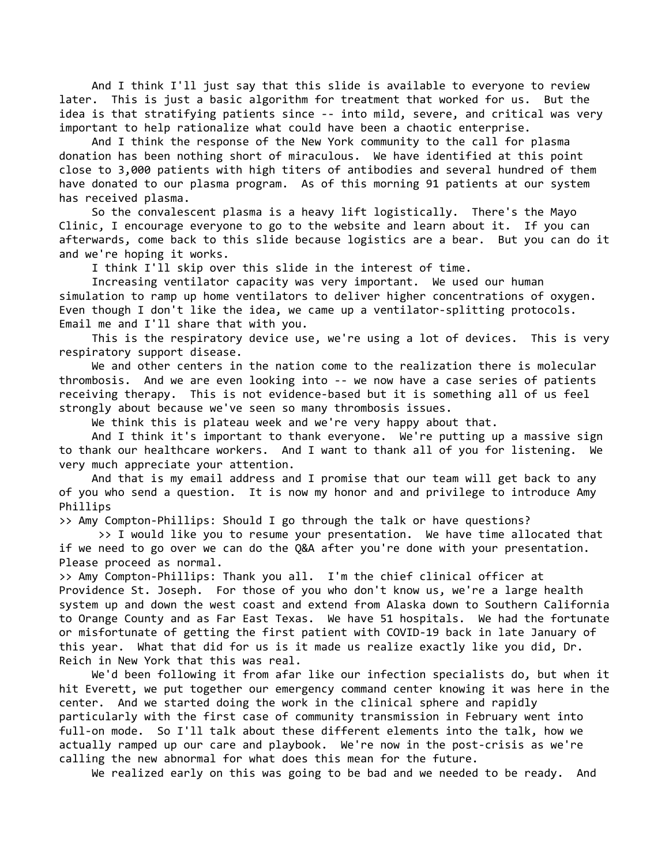And I think I'll just say that this slide is available to everyone to review later. This is just a basic algorithm for treatment that worked for us. But the idea is that stratifying patients since -- into mild, severe, and critical was very important to help rationalize what could have been a chaotic enterprise.

 And I think the response of the New York community to the call for plasma donation has been nothing short of miraculous. We have identified at this point close to 3,000 patients with high titers of antibodies and several hundred of them have donated to our plasma program. As of this morning 91 patients at our system has received plasma.

 So the convalescent plasma is a heavy lift logistically. There's the Mayo Clinic, I encourage everyone to go to the website and learn about it. If you can afterwards, come back to this slide because logistics are a bear. But you can do it and we're hoping it works.

I think I'll skip over this slide in the interest of time.

 Increasing ventilator capacity was very important. We used our human simulation to ramp up home ventilators to deliver higher concentrations of oxygen. Even though I don't like the idea, we came up a ventilator-splitting protocols. Email me and I'll share that with you.

 This is the respiratory device use, we're using a lot of devices. This is very respiratory support disease.

 We and other centers in the nation come to the realization there is molecular thrombosis. And we are even looking into -- we now have a case series of patients receiving therapy. This is not evidence-based but it is something all of us feel strongly about because we've seen so many thrombosis issues.

We think this is plateau week and we're very happy about that.

 And I think it's important to thank everyone. We're putting up a massive sign to thank our healthcare workers. And I want to thank all of you for listening. We very much appreciate your attention.

 And that is my email address and I promise that our team will get back to any of you who send a question. It is now my honor and and privilege to introduce Amy Phillips

>> Amy Compton-Phillips: Should I go through the talk or have questions?

 >> I would like you to resume your presentation. We have time allocated that if we need to go over we can do the Q&A after you're done with your presentation. Please proceed as normal.

>> Amy Compton-Phillips: Thank you all. I'm the chief clinical officer at

Providence St. Joseph. For those of you who don't know us, we're a large health system up and down the west coast and extend from Alaska down to Southern California to Orange County and as Far East Texas. We have 51 hospitals. We had the fortunate or misfortunate of getting the first patient with COVID-19 back in late January of this year. What that did for us is it made us realize exactly like you did, Dr. Reich in New York that this was real.

 We'd been following it from afar like our infection specialists do, but when it hit Everett, we put together our emergency command center knowing it was here in the center. And we started doing the work in the clinical sphere and rapidly particularly with the first case of community transmission in February went into full-on mode. So I'll talk about these different elements into the talk, how we actually ramped up our care and playbook. We're now in the post-crisis as we're calling the new abnormal for what does this mean for the future.

We realized early on this was going to be bad and we needed to be ready. And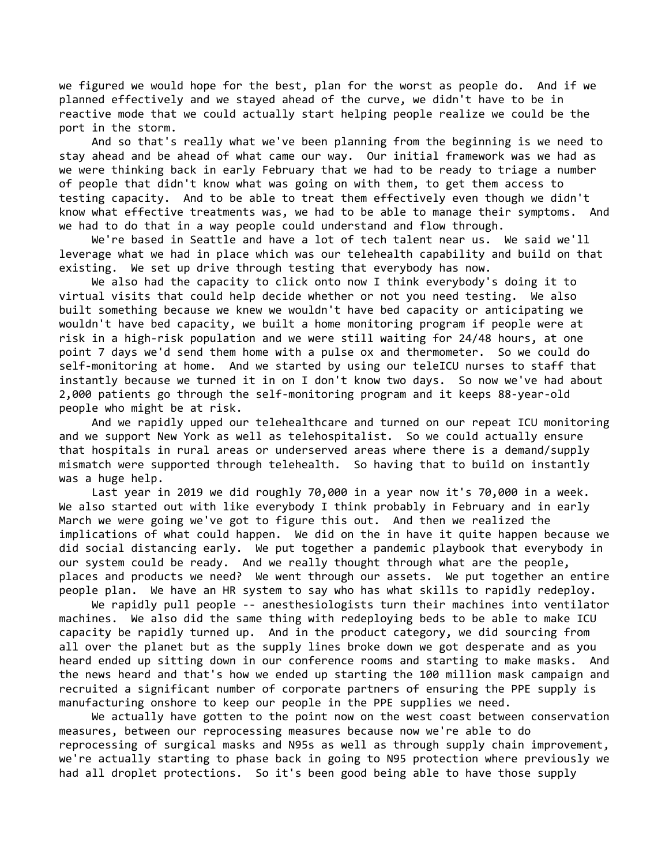we figured we would hope for the best, plan for the worst as people do. And if we planned effectively and we stayed ahead of the curve, we didn't have to be in reactive mode that we could actually start helping people realize we could be the port in the storm.

 And so that's really what we've been planning from the beginning is we need to stay ahead and be ahead of what came our way. Our initial framework was we had as we were thinking back in early February that we had to be ready to triage a number of people that didn't know what was going on with them, to get them access to testing capacity. And to be able to treat them effectively even though we didn't know what effective treatments was, we had to be able to manage their symptoms. And we had to do that in a way people could understand and flow through.

 We're based in Seattle and have a lot of tech talent near us. We said we'll leverage what we had in place which was our telehealth capability and build on that existing. We set up drive through testing that everybody has now.

 We also had the capacity to click onto now I think everybody's doing it to virtual visits that could help decide whether or not you need testing. We also built something because we knew we wouldn't have bed capacity or anticipating we wouldn't have bed capacity, we built a home monitoring program if people were at risk in a high-risk population and we were still waiting for 24/48 hours, at one point 7 days we'd send them home with a pulse ox and thermometer. So we could do self-monitoring at home. And we started by using our teleICU nurses to staff that instantly because we turned it in on I don't know two days. So now we've had about 2,000 patients go through the self-monitoring program and it keeps 88-year-old people who might be at risk.

 And we rapidly upped our telehealthcare and turned on our repeat ICU monitoring and we support New York as well as telehospitalist. So we could actually ensure that hospitals in rural areas or underserved areas where there is a demand/supply mismatch were supported through telehealth. So having that to build on instantly was a huge help.

 Last year in 2019 we did roughly 70,000 in a year now it's 70,000 in a week. We also started out with like everybody I think probably in February and in early March we were going we've got to figure this out. And then we realized the implications of what could happen. We did on the in have it quite happen because we did social distancing early. We put together a pandemic playbook that everybody in our system could be ready. And we really thought through what are the people, places and products we need? We went through our assets. We put together an entire people plan. We have an HR system to say who has what skills to rapidly redeploy.

 We rapidly pull people -- anesthesiologists turn their machines into ventilator machines. We also did the same thing with redeploying beds to be able to make ICU capacity be rapidly turned up. And in the product category, we did sourcing from all over the planet but as the supply lines broke down we got desperate and as you heard ended up sitting down in our conference rooms and starting to make masks. And the news heard and that's how we ended up starting the 100 million mask campaign and recruited a significant number of corporate partners of ensuring the PPE supply is manufacturing onshore to keep our people in the PPE supplies we need.

 We actually have gotten to the point now on the west coast between conservation measures, between our reprocessing measures because now we're able to do reprocessing of surgical masks and N95s as well as through supply chain improvement, we're actually starting to phase back in going to N95 protection where previously we had all droplet protections. So it's been good being able to have those supply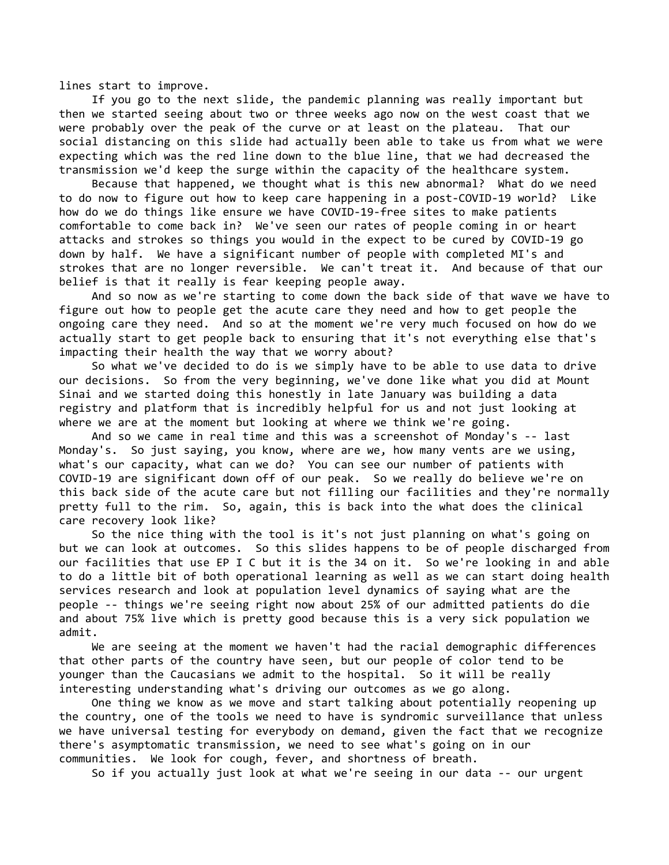lines start to improve.

 If you go to the next slide, the pandemic planning was really important but then we started seeing about two or three weeks ago now on the west coast that we were probably over the peak of the curve or at least on the plateau. That our social distancing on this slide had actually been able to take us from what we were expecting which was the red line down to the blue line, that we had decreased the transmission we'd keep the surge within the capacity of the healthcare system.

 Because that happened, we thought what is this new abnormal? What do we need to do now to figure out how to keep care happening in a post-COVID-19 world? Like how do we do things like ensure we have COVID-19-free sites to make patients comfortable to come back in? We've seen our rates of people coming in or heart attacks and strokes so things you would in the expect to be cured by COVID-19 go down by half. We have a significant number of people with completed MI's and strokes that are no longer reversible. We can't treat it. And because of that our belief is that it really is fear keeping people away.

 And so now as we're starting to come down the back side of that wave we have to figure out how to people get the acute care they need and how to get people the ongoing care they need. And so at the moment we're very much focused on how do we actually start to get people back to ensuring that it's not everything else that's impacting their health the way that we worry about?

 So what we've decided to do is we simply have to be able to use data to drive our decisions. So from the very beginning, we've done like what you did at Mount Sinai and we started doing this honestly in late January was building a data registry and platform that is incredibly helpful for us and not just looking at where we are at the moment but looking at where we think we're going.

 And so we came in real time and this was a screenshot of Monday's -- last Monday's. So just saying, you know, where are we, how many vents are we using, what's our capacity, what can we do? You can see our number of patients with COVID-19 are significant down off of our peak. So we really do believe we're on this back side of the acute care but not filling our facilities and they're normally pretty full to the rim. So, again, this is back into the what does the clinical care recovery look like?

 So the nice thing with the tool is it's not just planning on what's going on but we can look at outcomes. So this slides happens to be of people discharged from our facilities that use EP I C but it is the 34 on it. So we're looking in and able to do a little bit of both operational learning as well as we can start doing health services research and look at population level dynamics of saying what are the people -- things we're seeing right now about 25% of our admitted patients do die and about 75% live which is pretty good because this is a very sick population we admit.

 We are seeing at the moment we haven't had the racial demographic differences that other parts of the country have seen, but our people of color tend to be younger than the Caucasians we admit to the hospital. So it will be really interesting understanding what's driving our outcomes as we go along.

 One thing we know as we move and start talking about potentially reopening up the country, one of the tools we need to have is syndromic surveillance that unless we have universal testing for everybody on demand, given the fact that we recognize there's asymptomatic transmission, we need to see what's going on in our communities. We look for cough, fever, and shortness of breath.

So if you actually just look at what we're seeing in our data -- our urgent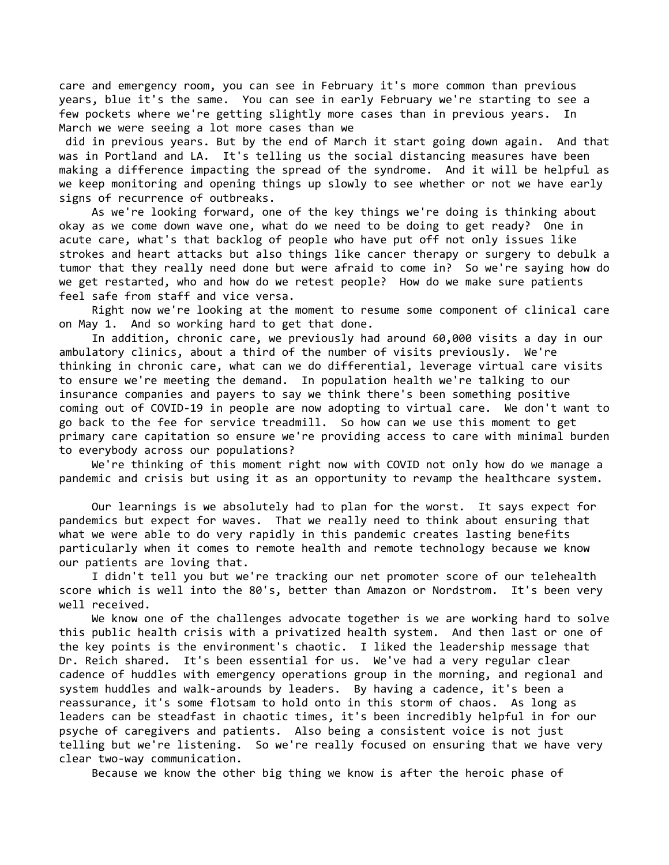care and emergency room, you can see in February it's more common than previous years, blue it's the same. You can see in early February we're starting to see a few pockets where we're getting slightly more cases than in previous years. In March we were seeing a lot more cases than we

 did in previous years. But by the end of March it start going down again. And that was in Portland and LA. It's telling us the social distancing measures have been making a difference impacting the spread of the syndrome. And it will be helpful as we keep monitoring and opening things up slowly to see whether or not we have early signs of recurrence of outbreaks.

 As we're looking forward, one of the key things we're doing is thinking about okay as we come down wave one, what do we need to be doing to get ready? One in acute care, what's that backlog of people who have put off not only issues like strokes and heart attacks but also things like cancer therapy or surgery to debulk a tumor that they really need done but were afraid to come in? So we're saying how do we get restarted, who and how do we retest people? How do we make sure patients feel safe from staff and vice versa.

 Right now we're looking at the moment to resume some component of clinical care on May 1. And so working hard to get that done.

 In addition, chronic care, we previously had around 60,000 visits a day in our ambulatory clinics, about a third of the number of visits previously. We're thinking in chronic care, what can we do differential, leverage virtual care visits to ensure we're meeting the demand. In population health we're talking to our insurance companies and payers to say we think there's been something positive coming out of COVID-19 in people are now adopting to virtual care. We don't want to go back to the fee for service treadmill. So how can we use this moment to get primary care capitation so ensure we're providing access to care with minimal burden to everybody across our populations?

 We're thinking of this moment right now with COVID not only how do we manage a pandemic and crisis but using it as an opportunity to revamp the healthcare system.

 Our learnings is we absolutely had to plan for the worst. It says expect for pandemics but expect for waves. That we really need to think about ensuring that what we were able to do very rapidly in this pandemic creates lasting benefits particularly when it comes to remote health and remote technology because we know our patients are loving that.

 I didn't tell you but we're tracking our net promoter score of our telehealth score which is well into the 80's, better than Amazon or Nordstrom. It's been very well received.

 We know one of the challenges advocate together is we are working hard to solve this public health crisis with a privatized health system. And then last or one of the key points is the environment's chaotic. I liked the leadership message that Dr. Reich shared. It's been essential for us. We've had a very regular clear cadence of huddles with emergency operations group in the morning, and regional and system huddles and walk-arounds by leaders. By having a cadence, it's been a reassurance, it's some flotsam to hold onto in this storm of chaos. As long as leaders can be steadfast in chaotic times, it's been incredibly helpful in for our psyche of caregivers and patients. Also being a consistent voice is not just telling but we're listening. So we're really focused on ensuring that we have very clear two-way communication.

Because we know the other big thing we know is after the heroic phase of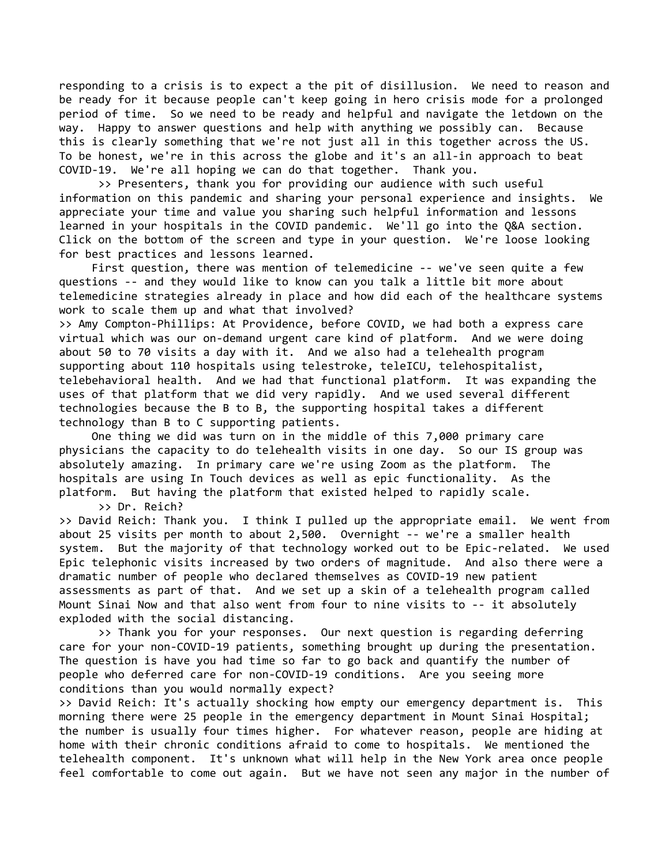responding to a crisis is to expect a the pit of disillusion. We need to reason and be ready for it because people can't keep going in hero crisis mode for a prolonged period of time. So we need to be ready and helpful and navigate the letdown on the way. Happy to answer questions and help with anything we possibly can. Because this is clearly something that we're not just all in this together across the US. To be honest, we're in this across the globe and it's an all-in approach to beat COVID-19. We're all hoping we can do that together. Thank you.

 >> Presenters, thank you for providing our audience with such useful information on this pandemic and sharing your personal experience and insights. We appreciate your time and value you sharing such helpful information and lessons learned in your hospitals in the COVID pandemic. We'll go into the Q&A section. Click on the bottom of the screen and type in your question. We're loose looking for best practices and lessons learned.

 First question, there was mention of telemedicine -- we've seen quite a few questions -- and they would like to know can you talk a little bit more about telemedicine strategies already in place and how did each of the healthcare systems work to scale them up and what that involved?

>> Amy Compton-Phillips: At Providence, before COVID, we had both a express care virtual which was our on-demand urgent care kind of platform. And we were doing about 50 to 70 visits a day with it. And we also had a telehealth program supporting about 110 hospitals using telestroke, teleICU, telehospitalist, telebehavioral health. And we had that functional platform. It was expanding the uses of that platform that we did very rapidly. And we used several different technologies because the B to B, the supporting hospital takes a different technology than B to C supporting patients.

 One thing we did was turn on in the middle of this 7,000 primary care physicians the capacity to do telehealth visits in one day. So our IS group was absolutely amazing. In primary care we're using Zoom as the platform. The hospitals are using In Touch devices as well as epic functionality. As the platform. But having the platform that existed helped to rapidly scale. >> Dr. Reich?

>> David Reich: Thank you. I think I pulled up the appropriate email. We went from about 25 visits per month to about 2,500. Overnight -- we're a smaller health system. But the majority of that technology worked out to be Epic-related. We used Epic telephonic visits increased by two orders of magnitude. And also there were a dramatic number of people who declared themselves as COVID-19 new patient assessments as part of that. And we set up a skin of a telehealth program called Mount Sinai Now and that also went from four to nine visits to -- it absolutely exploded with the social distancing.

 >> Thank you for your responses. Our next question is regarding deferring care for your non-COVID-19 patients, something brought up during the presentation. The question is have you had time so far to go back and quantify the number of people who deferred care for non-COVID-19 conditions. Are you seeing more conditions than you would normally expect?

>> David Reich: It's actually shocking how empty our emergency department is. This morning there were 25 people in the emergency department in Mount Sinai Hospital; the number is usually four times higher. For whatever reason, people are hiding at home with their chronic conditions afraid to come to hospitals. We mentioned the telehealth component. It's unknown what will help in the New York area once people feel comfortable to come out again. But we have not seen any major in the number of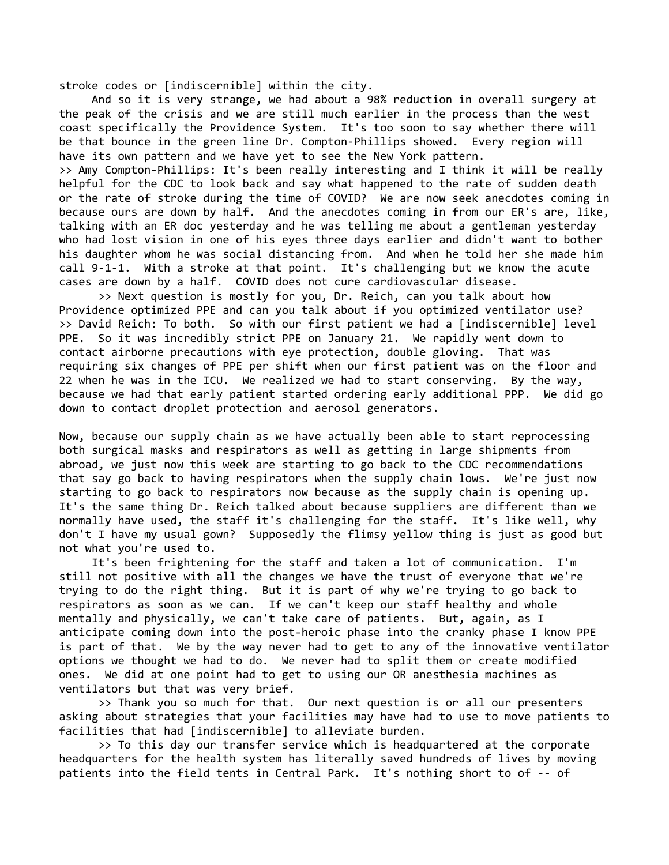stroke codes or [indiscernible] within the city.

 And so it is very strange, we had about a 98% reduction in overall surgery at the peak of the crisis and we are still much earlier in the process than the west coast specifically the Providence System. It's too soon to say whether there will be that bounce in the green line Dr. Compton-Phillips showed. Every region will have its own pattern and we have yet to see the New York pattern. >> Amy Compton-Phillips: It's been really interesting and I think it will be really helpful for the CDC to look back and say what happened to the rate of sudden death or the rate of stroke during the time of COVID? We are now seek anecdotes coming in because ours are down by half. And the anecdotes coming in from our ER's are, like, talking with an ER doc yesterday and he was telling me about a gentleman yesterday who had lost vision in one of his eyes three days earlier and didn't want to bother his daughter whom he was social distancing from. And when he told her she made him

cases are down by a half. COVID does not cure cardiovascular disease. >> Next question is mostly for you, Dr. Reich, can you talk about how Providence optimized PPE and can you talk about if you optimized ventilator use? >> David Reich: To both. So with our first patient we had a [indiscernible] level PPE. So it was incredibly strict PPE on January 21. We rapidly went down to contact airborne precautions with eye protection, double gloving. That was requiring six changes of PPE per shift when our first patient was on the floor and 22 when he was in the ICU. We realized we had to start conserving. By the way, because we had that early patient started ordering early additional PPP. We did go down to contact droplet protection and aerosol generators.

call 9-1-1. With a stroke at that point. It's challenging but we know the acute

Now, because our supply chain as we have actually been able to start reprocessing both surgical masks and respirators as well as getting in large shipments from abroad, we just now this week are starting to go back to the CDC recommendations that say go back to having respirators when the supply chain lows. We're just now starting to go back to respirators now because as the supply chain is opening up. It's the same thing Dr. Reich talked about because suppliers are different than we normally have used, the staff it's challenging for the staff. It's like well, why don't I have my usual gown? Supposedly the flimsy yellow thing is just as good but not what you're used to.

 It's been frightening for the staff and taken a lot of communication. I'm still not positive with all the changes we have the trust of everyone that we're trying to do the right thing. But it is part of why we're trying to go back to respirators as soon as we can. If we can't keep our staff healthy and whole mentally and physically, we can't take care of patients. But, again, as I anticipate coming down into the post-heroic phase into the cranky phase I know PPE is part of that. We by the way never had to get to any of the innovative ventilator options we thought we had to do. We never had to split them or create modified ones. We did at one point had to get to using our OR anesthesia machines as ventilators but that was very brief.

 >> Thank you so much for that. Our next question is or all our presenters asking about strategies that your facilities may have had to use to move patients to facilities that had [indiscernible] to alleviate burden.

 >> To this day our transfer service which is headquartered at the corporate headquarters for the health system has literally saved hundreds of lives by moving patients into the field tents in Central Park. It's nothing short to of -- of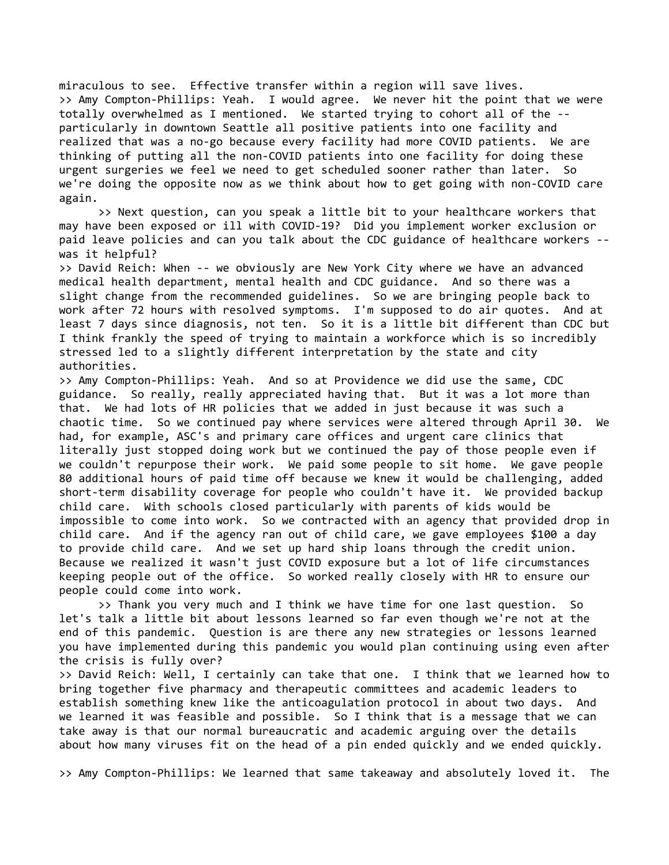miraculous to see. Effective transfer within a region will save lives. >> Amy Compton-Phillips: Yeah. I would agree. We never hit the point that we were totally overwhelmed as I mentioned. We started trying to cohort all of the - particularly in downtown Seattle all positive patients into one facility and realized that was a no-go because every facility had more COVID patients. We are thinking of putting all the non-COVID patients into one facility for doing these urgent surgeries we feel we need to get scheduled sooner rather than later. So we're doing the opposite now as we think about how to get going with non-COVID care again.

 >> Next question, can you speak a little bit to your healthcare workers that may have been exposed or ill with COVID-19? Did you implement worker exclusion or paid leave policies and can you talk about the CDC guidance of healthcare workers - was it helpful?

>> David Reich: When -- we obviously are New York City where we have an advanced medical health department, mental health and CDC guidance. And so there was a slight change from the recommended guidelines. So we are bringing people back to work after 72 hours with resolved symptoms. I'm supposed to do air quotes. And at least 7 days since diagnosis, not ten. So it is a little bit different than CDC but I think frankly the speed of trying to maintain a workforce which is so incredibly stressed led to a slightly different interpretation by the state and city authorities.

>> Amy Compton-Phillips: Yeah. And so at Providence we did use the same, CDC guidance. So really, really appreciated having that. But it was a lot more than that. We had lots of HR policies that we added in just because it was such a chaotic time. So we continued pay where services were altered through April 30. We had, for example, ASC's and primary care offices and urgent care clinics that literally just stopped doing work but we continued the pay of those people even if we couldn't repurpose their work. We paid some people to sit home. We gave people 80 additional hours of paid time off because we knew it would be challenging, added short-term disability coverage for people who couldn't have it. We provided backup child care. With schools closed particularly with parents of kids would be impossible to come into work. So we contracted with an agency that provided drop in child care. And if the agency ran out of child care, we gave employees \$100 a day to provide child care. And we set up hard ship loans through the credit union. Because we realized it wasn't just COVID exposure but a lot of life circumstances keeping people out of the office. So worked really closely with HR to ensure our people could come into work.

 >> Thank you very much and I think we have time for one last question. So let's talk a little bit about lessons learned so far even though we're not at the end of this pandemic. Question is are there any new strategies or lessons learned you have implemented during this pandemic you would plan continuing using even after the crisis is fully over?

>> David Reich: Well, I certainly can take that one. I think that we learned how to bring together five pharmacy and therapeutic committees and academic leaders to establish something knew like the anticoagulation protocol in about two days. And we learned it was feasible and possible. So I think that is a message that we can take away is that our normal bureaucratic and academic arguing over the details about how many viruses fit on the head of a pin ended quickly and we ended quickly.

>> Amy Compton-Phillips: We learned that same takeaway and absolutely loved it. The